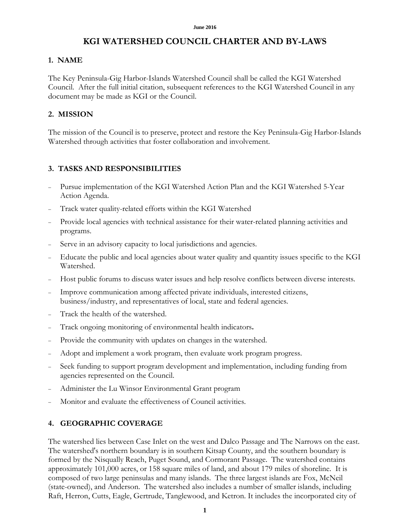# **KGI WATERSHED COUNCIL CHARTER AND BY-LAWS**

## **1. NAME**

The Key Peninsula-Gig Harbor-Islands Watershed Council shall be called the KGI Watershed Council. After the full initial citation, subsequent references to the KGI Watershed Council in any document may be made as KGI or the Council.

## **2. MISSION**

The mission of the Council is to preserve, protect and restore the Key Peninsula-Gig Harbor-Islands Watershed through activities that foster collaboration and involvement.

### **3. TASKS AND RESPONSIBILITIES**

- <sup>−</sup> Pursue implementation of the KGI Watershed Action Plan and the KGI Watershed 5-Year Action Agenda.
- Track water quality-related efforts within the KGI Watershed
- Provide local agencies with technical assistance for their water-related planning activities and programs.
- Serve in an advisory capacity to local jurisdictions and agencies.
- Educate the public and local agencies about water quality and quantity issues specific to the KGI Watershed.
- Host public forums to discuss water issues and help resolve conflicts between diverse interests.
- Improve communication among affected private individuals, interested citizens, business/industry, and representatives of local, state and federal agencies.
- Track the health of the watershed.
- <sup>−</sup> Track ongoing monitoring of environmental health indicators**.**
- Provide the community with updates on changes in the watershed.
- Adopt and implement a work program, then evaluate work program progress.
- Seek funding to support program development and implementation, including funding from agencies represented on the Council.
- <sup>−</sup> Administer the Lu Winsor Environmental Grant program
- Monitor and evaluate the effectiveness of Council activities.

# **4. GEOGRAPHIC COVERAGE**

The watershed lies between Case Inlet on the west and Dalco Passage and The Narrows on the east. The watershed's northern boundary is in southern Kitsap County, and the southern boundary is formed by the Nisqually Reach, Puget Sound, and Cormorant Passage. The watershed contains approximately 101,000 acres, or 158 square miles of land, and about 179 miles of shoreline. It is composed of two large peninsulas and many islands. The three largest islands are Fox, McNeil (state-owned), and Anderson. The watershed also includes a number of smaller islands, including Raft, Herron, Cutts, Eagle, Gertrude, Tanglewood, and Ketron. It includes the incorporated city of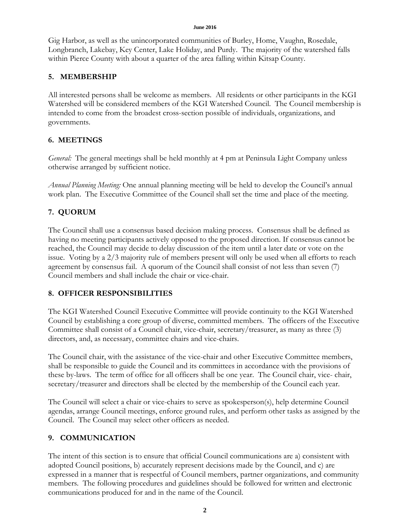#### **June 2016**

Gig Harbor, as well as the unincorporated communities of Burley, Home, Vaughn, Rosedale, Longbranch, Lakebay, Key Center, Lake Holiday, and Purdy. The majority of the watershed falls within Pierce County with about a quarter of the area falling within Kitsap County.

### **5. MEMBERSHIP**

All interested persons shall be welcome as members. All residents or other participants in the KGI Watershed will be considered members of the KGI Watershed Council. The Council membership is intended to come from the broadest cross-section possible of individuals, organizations, and governments.

# **6. MEETINGS**

*General:* The general meetings shall be held monthly at 4 pm at Peninsula Light Company unless otherwise arranged by sufficient notice.

*Annual Planning Meeting:* One annual planning meeting will be held to develop the Council's annual work plan. The Executive Committee of the Council shall set the time and place of the meeting.

# **7. QUORUM**

The Council shall use a consensus based decision making process. Consensus shall be defined as having no meeting participants actively opposed to the proposed direction. If consensus cannot be reached, the Council may decide to delay discussion of the item until a later date or vote on the issue. Voting by a 2/3 majority rule of members present will only be used when all efforts to reach agreement by consensus fail. A quorum of the Council shall consist of not less than seven (7) Council members and shall include the chair or vice-chair.

### **8. OFFICER RESPONSIBILITIES**

The KGI Watershed Council Executive Committee will provide continuity to the KGI Watershed Council by establishing a core group of diverse, committed members. The officers of the Executive Committee shall consist of a Council chair, vice-chair, secretary/treasurer, as many as three (3) directors, and, as necessary, committee chairs and vice-chairs.

The Council chair, with the assistance of the vice-chair and other Executive Committee members, shall be responsible to guide the Council and its committees in accordance with the provisions of these by-laws. The term of office for all officers shall be one year. The Council chair, vice- chair, secretary/treasurer and directors shall be elected by the membership of the Council each year.

The Council will select a chair or vice-chairs to serve as spokesperson(s), help determine Council agendas, arrange Council meetings, enforce ground rules, and perform other tasks as assigned by the Council. The Council may select other officers as needed.

# **9. COMMUNICATION**

The intent of this section is to ensure that official Council communications are a) consistent with adopted Council positions, b) accurately represent decisions made by the Council, and c) are expressed in a manner that is respectful of Council members, partner organizations, and community members. The following procedures and guidelines should be followed for written and electronic communications produced for and in the name of the Council.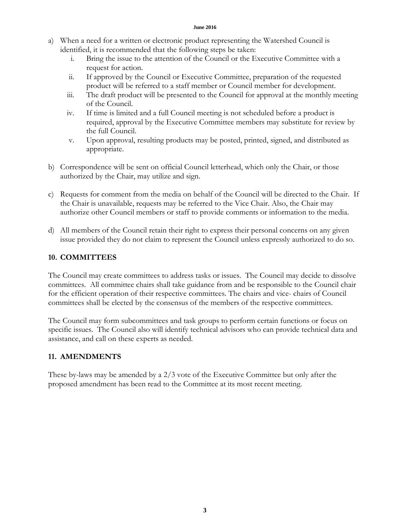#### **June 2016**

- a) When a need for a written or electronic product representing the Watershed Council is identified, it is recommended that the following steps be taken:
	- i. Bring the issue to the attention of the Council or the Executive Committee with a request for action.
	- ii. If approved by the Council or Executive Committee, preparation of the requested product will be referred to a staff member or Council member for development.
	- iii. The draft product will be presented to the Council for approval at the monthly meeting of the Council.
	- iv. If time is limited and a full Council meeting is not scheduled before a product is required, approval by the Executive Committee members may substitute for review by the full Council.
	- v. Upon approval, resulting products may be posted, printed, signed, and distributed as appropriate.
- b) Correspondence will be sent on official Council letterhead, which only the Chair, or those authorized by the Chair, may utilize and sign.
- c) Requests for comment from the media on behalf of the Council will be directed to the Chair. If the Chair is unavailable, requests may be referred to the Vice Chair. Also, the Chair may authorize other Council members or staff to provide comments or information to the media.
- d) All members of the Council retain their right to express their personal concerns on any given issue provided they do not claim to represent the Council unless expressly authorized to do so.

# **10. COMMITTEES**

The Council may create committees to address tasks or issues. The Council may decide to dissolve committees. All committee chairs shall take guidance from and be responsible to the Council chair for the efficient operation of their respective committees. The chairs and vice- chairs of Council committees shall be elected by the consensus of the members of the respective committees.

The Council may form subcommittees and task groups to perform certain functions or focus on specific issues. The Council also will identify technical advisors who can provide technical data and assistance, and call on these experts as needed.

### **11. AMENDMENTS**

These by-laws may be amended by a 2/3 vote of the Executive Committee but only after the proposed amendment has been read to the Committee at its most recent meeting.